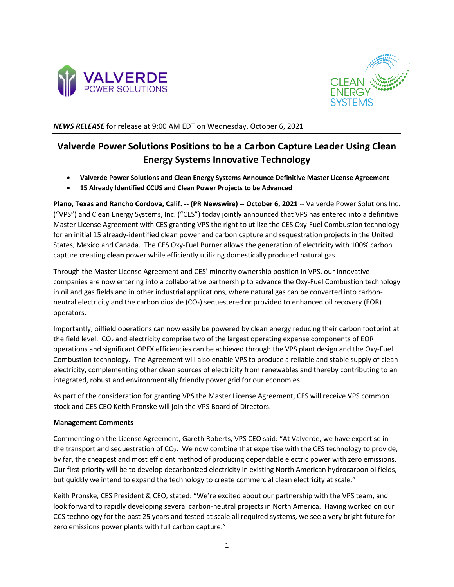



*NEWS RELEASE* for release at 9:00 AM EDT on Wednesday, October 6, 2021

# **Valverde Power Solutions Positions to be a Carbon Capture Leader Using Clean Energy Systems Innovative Technology**

- **Valverde Power Solutions and Clean Energy Systems Announce Definitive Master License Agreement**
- **15 Already Identified CCUS and Clean Power Projects to be Advanced**

**Plano, Texas and Rancho Cordova, Calif. -- (PR Newswire) -- October 6, 2021** -- Valverde Power Solutions Inc. ("VPS") and Clean Energy Systems, Inc. ("CES") today jointly announced that VPS has entered into a definitive Master License Agreement with CES granting VPS the right to utilize the CES Oxy-Fuel Combustion technology for an initial 15 already-identified clean power and carbon capture and sequestration projects in the United States, Mexico and Canada. The CES Oxy-Fuel Burner allows the generation of electricity with 100% carbon capture creating **clean** power while efficiently utilizing domestically produced natural gas.

Through the Master License Agreement and CES' minority ownership position in VPS, our innovative companies are now entering into a collaborative partnership to advance the Oxy-Fuel Combustion technology in oil and gas fields and in other industrial applications, where natural gas can be converted into carbonneutral electricity and the carbon dioxide (CO2) sequestered or provided to enhanced oil recovery (EOR) operators.

Importantly, oilfield operations can now easily be powered by clean energy reducing their carbon footprint at the field level.  $CO<sub>2</sub>$  and electricity comprise two of the largest operating expense components of EOR operations and significant OPEX efficiencies can be achieved through the VPS plant design and the Oxy-Fuel Combustion technology. The Agreement will also enable VPS to produce a reliable and stable supply of clean electricity, complementing other clean sources of electricity from renewables and thereby contributing to an integrated, robust and environmentally friendly power grid for our economies.

As part of the consideration for granting VPS the Master License Agreement, CES will receive VPS common stock and CES CEO Keith Pronske will join the VPS Board of Directors.

## **Management Comments**

Commenting on the License Agreement, Gareth Roberts, VPS CEO said: "At Valverde, we have expertise in the transport and sequestration of  $CO<sub>2</sub>$ . We now combine that expertise with the CES technology to provide, by far, the cheapest and most efficient method of producing dependable electric power with zero emissions. Our first priority will be to develop decarbonized electricity in existing North American hydrocarbon oilfields, but quickly we intend to expand the technology to create commercial clean electricity at scale."

Keith Pronske, CES President & CEO, stated: "We're excited about our partnership with the VPS team, and look forward to rapidly developing several carbon-neutral projects in North America. Having worked on our CCS technology for the past 25 years and tested at scale all required systems, we see a very bright future for zero emissions power plants with full carbon capture."